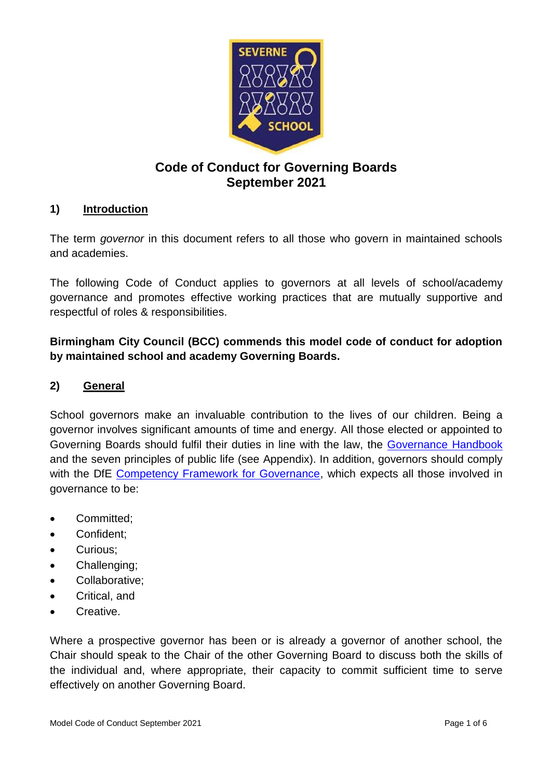

# **Code of Conduct for Governing Boards September 2021**

### **1) Introduction**

The term *governor* in this document refers to all those who govern in maintained schools and academies.

The following Code of Conduct applies to governors at all levels of school/academy governance and promotes effective working practices that are mutually supportive and respectful of roles & responsibilities.

**Birmingham City Council (BCC) commends this model code of conduct for adoption by maintained school and academy Governing Boards.**

### **2) General**

School governors make an invaluable contribution to the lives of our children. Being a governor involves significant amounts of time and energy. All those elected or appointed to Governing Boards should fulfil their duties in line with the law, the [Governance](https://www.gov.uk/government/publications/governance-handbook) Handbook and the seven principles of public life (see Appendix). In addition, governors should comply with the DfE [Competency Framework for Governance,](https://www.gov.uk/government/publications/governance-handbook) which expects all those involved in governance to be:

- Committed;
- Confident;
- Curious;
- Challenging;
- Collaborative;
- Critical, and
- Creative.

Where a prospective governor has been or is already a governor of another school, the Chair should speak to the Chair of the other Governing Board to discuss both the skills of the individual and, where appropriate, their capacity to commit sufficient time to serve effectively on another Governing Board.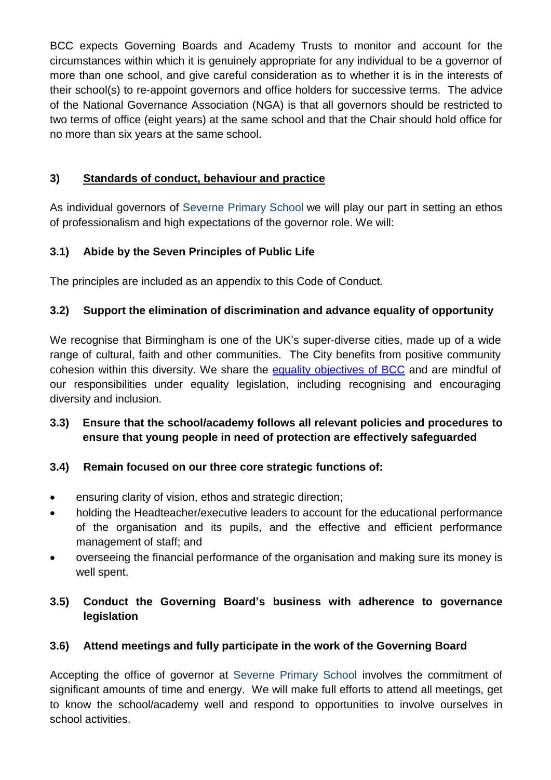BCC expects Governing Boards and Academy Trusts to monitor and account for the circumstances within which it is genuinely appropriate for any individual to be a governor of more than one school, and give careful consideration as to whether it is in the interests of their school(s) to re-appoint governors and office holders for successive terms. The advice of the National Governance Association (NGA) is that all governors should be restricted to two terms of office (eight years) at the same school and that the Chair should hold office for no more than six years at the same school.

# **3) Standards of conduct, behaviour and practice**

As individual governors of Severne Primary School we will play our part in setting an ethos of professionalism and high expectations of the governor role. We will:

# **3.1) Abide by the Seven Principles of Public Life**

The principles are included as an appendix to this Code of Conduct.

# **3.2) Support the elimination of discrimination and advance equality of opportunity**

We recognise that Birmingham is one of the UK's super-diverse cities, made up of a wide range of cultural, faith and other communities. The City benefits from positive community cohesion within this diversity. We share the [equality objectives](https://www.birmingham.gov.uk/info/20218/equality_and_diversity/646/equality_objectives) of BCC and are mindful of our responsibilities under equality legislation, including recognising and encouraging diversity and inclusion.

# **3.3) Ensure that the school/academy follows all relevant policies and procedures to ensure that young people in need of protection are effectively safeguarded**

# **3.4) Remain focused on our three core strategic functions of:**

- ensuring clarity of vision, ethos and strategic direction;
- holding the Headteacher/executive leaders to account for the educational performance of the organisation and its pupils, and the effective and efficient performance management of staff; and
- overseeing the financial performance of the organisation and making sure its money is well spent.

# **3.5) Conduct the Governing Board's business with adherence to governance legislation**

# **3.6) Attend meetings and fully participate in the work of the Governing Board**

Accepting the office of governor at Severne Primary School involves the commitment of significant amounts of time and energy. We will make full efforts to attend all meetings, get to know the school/academy well and respond to opportunities to involve ourselves in school activities.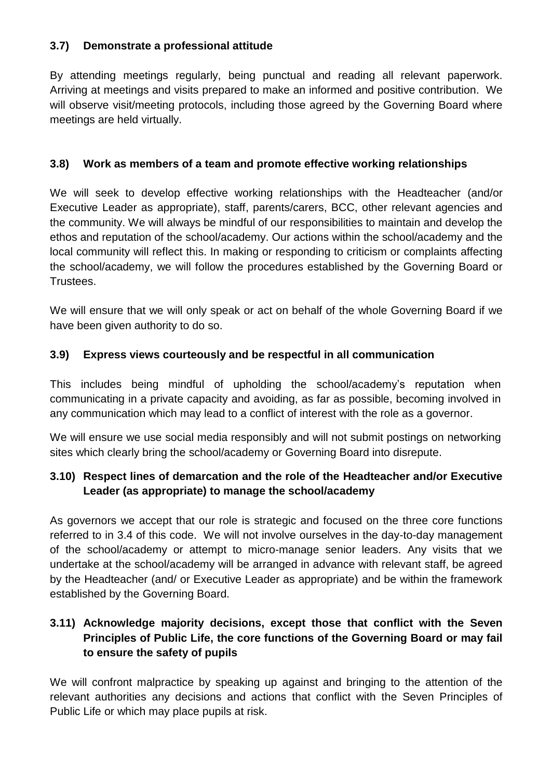## **3.7) Demonstrate a professional attitude**

By attending meetings regularly, being punctual and reading all relevant paperwork. Arriving at meetings and visits prepared to make an informed and positive contribution. We will observe visit/meeting protocols, including those agreed by the Governing Board where meetings are held virtually.

### **3.8) Work as members of a team and promote effective working relationships**

We will seek to develop effective working relationships with the Headteacher (and/or Executive Leader as appropriate), staff, parents/carers, BCC, other relevant agencies and the community. We will always be mindful of our responsibilities to maintain and develop the ethos and reputation of the school/academy. Our actions within the school/academy and the local community will reflect this. In making or responding to criticism or complaints affecting the school/academy, we will follow the procedures established by the Governing Board or **Trustees** 

We will ensure that we will only speak or act on behalf of the whole Governing Board if we have been given authority to do so.

## **3.9) Express views courteously and be respectful in all communication**

This includes being mindful of upholding the school/academy's reputation when communicating in a private capacity and avoiding, as far as possible, becoming involved in any communication which may lead to a conflict of interest with the role as a governor.

We will ensure we use social media responsibly and will not submit postings on networking sites which clearly bring the school/academy or Governing Board into disrepute.

# **3.10) Respect lines of demarcation and the role of the Headteacher and/or Executive Leader (as appropriate) to manage the school/academy**

As governors we accept that our role is strategic and focused on the three core functions referred to in 3.4 of this code. We will not involve ourselves in the day-to-day management of the school/academy or attempt to micro-manage senior leaders. Any visits that we undertake at the school/academy will be arranged in advance with relevant staff, be agreed by the Headteacher (and/ or Executive Leader as appropriate) and be within the framework established by the Governing Board.

# **3.11) Acknowledge majority decisions, except those that conflict with the Seven Principles of Public Life, the core functions of the Governing Board or may fail to ensure the safety of pupils**

We will confront malpractice by speaking up against and bringing to the attention of the relevant authorities any decisions and actions that conflict with the Seven Principles of Public Life or which may place pupils at risk.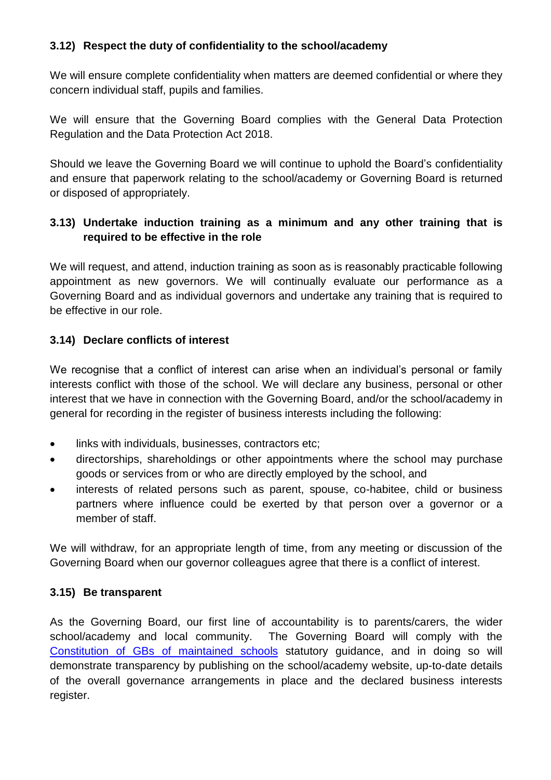### **3.12) Respect the duty of confidentiality to the school/academy**

We will ensure complete confidentiality when matters are deemed confidential or where they concern individual staff, pupils and families.

We will ensure that the Governing Board complies with the General Data Protection Regulation and the Data Protection Act 2018.

Should we leave the Governing Board we will continue to uphold the Board's confidentiality and ensure that paperwork relating to the school/academy or Governing Board is returned or disposed of appropriately.

## **3.13) Undertake induction training as a minimum and any other training that is required to be effective in the role**

We will request, and attend, induction training as soon as is reasonably practicable following appointment as new governors. We will continually evaluate our performance as a Governing Board and as individual governors and undertake any training that is required to be effective in our role.

### **3.14) Declare conflicts of interest**

We recognise that a conflict of interest can arise when an individual's personal or family interests conflict with those of the school. We will declare any business, personal or other interest that we have in connection with the Governing Board, and/or the school/academy in general for recording in the register of business interests including the following:

- links with individuals, businesses, contractors etc;
- directorships, shareholdings or other appointments where the school may purchase goods or services from or who are directly employed by the school, and
- interests of related persons such as parent, spouse, co-habitee, child or business partners where influence could be exerted by that person over a governor or a member of staff.

We will withdraw, for an appropriate length of time, from any meeting or discussion of the Governing Board when our governor colleagues agree that there is a conflict of interest.

### **3.15) Be transparent**

As the Governing Board, our first line of accountability is to parents/carers, the wider school/academy and local community. The Governing Board will comply with the Constitution of GBs [of maintained](https://www.gov.uk/government/publications/constitution-of-governing-bodies-of-maintained-schools) schools statutory guidance, and in doing so will demonstrate transparency by publishing on the school/academy website, up-to-date details of the overall governance arrangements in place and the declared business interests register.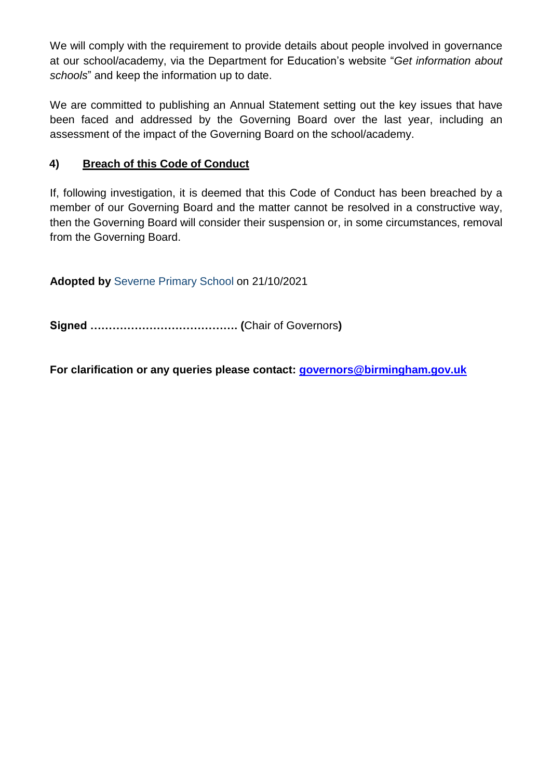We will comply with the requirement to provide details about people involved in governance at our school/academy, via the Department for Education's website "*Get information about schools*" and keep the information up to date.

We are committed to publishing an Annual Statement setting out the key issues that have been faced and addressed by the Governing Board over the last year, including an assessment of the impact of the Governing Board on the school/academy.

## **4) Breach of this Code of Conduct**

If, following investigation, it is deemed that this Code of Conduct has been breached by a member of our Governing Board and the matter cannot be resolved in a constructive way, then the Governing Board will consider their suspension or, in some circumstances, removal from the Governing Board.

**Adopted by** Severne Primary School on 21/10/2021

**Signed …………………………………. (**Chair of Governors**)**

**For clarification or any queries please contact: [governors@birmingham.gov.uk](mailto:governors@birmingham.gov.uk)**